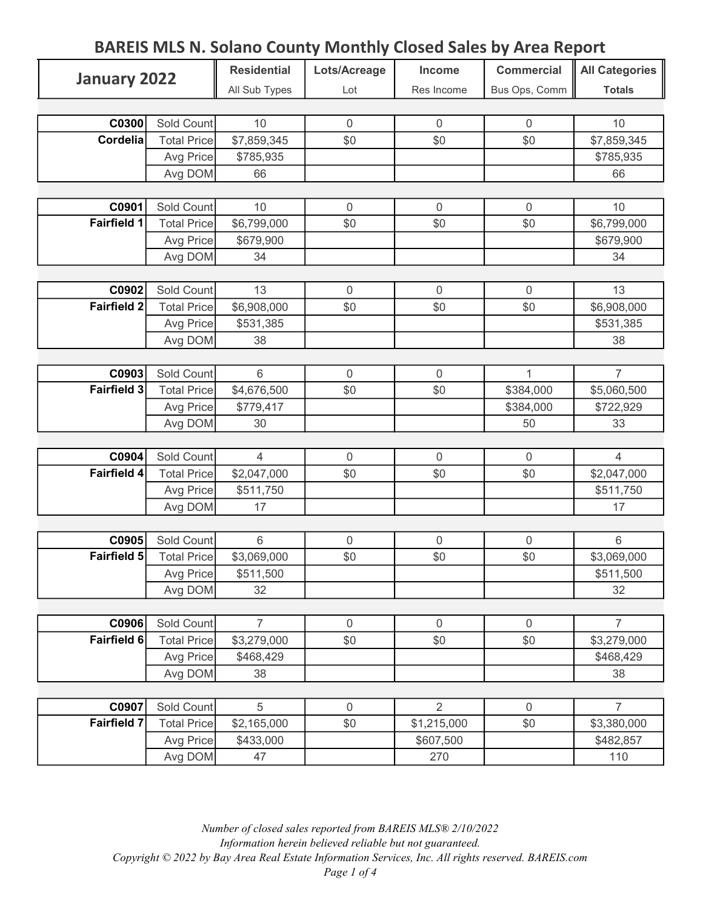| January 2022         |                    | <b>Residential</b> | Lots/Acreage     | Income         | <b>Commercial</b> | <b>All Categories</b> |
|----------------------|--------------------|--------------------|------------------|----------------|-------------------|-----------------------|
|                      |                    | All Sub Types      | Lot              | Res Income     | Bus Ops, Comm     | <b>Totals</b>         |
|                      |                    |                    |                  |                |                   |                       |
| C0300                | Sold Count         | 10                 | $\mathbf 0$      | $\mathbf 0$    | $\overline{0}$    | 10                    |
| <b>Cordelia</b>      | <b>Total Price</b> | \$7,859,345        | \$0              | \$0            | \$0               | \$7,859,345           |
|                      | Avg Price          | \$785,935          |                  |                |                   | \$785,935             |
|                      | Avg DOM            | 66                 |                  |                |                   | 66                    |
|                      |                    |                    |                  |                |                   |                       |
| C0901                | Sold Count         | 10                 | $\boldsymbol{0}$ | $\mathbf 0$    | $\mathbf 0$       | 10                    |
| <b>Fairfield 1</b>   | <b>Total Price</b> | \$6,799,000        | \$0              | \$0            | \$0               | \$6,799,000           |
|                      | Avg Price          | \$679,900          |                  |                |                   | \$679,900             |
|                      | Avg DOM            | 34                 |                  |                |                   | 34                    |
|                      |                    |                    |                  |                |                   |                       |
| C0902                | Sold Count         | 13                 | $\boldsymbol{0}$ | $\mathbf 0$    | $\mathbf 0$       | 13                    |
| Fairfield 2          | <b>Total Price</b> | \$6,908,000        | \$0              | \$0            | \$0               | \$6,908,000           |
|                      | Avg Price          | \$531,385          |                  |                |                   | \$531,385             |
|                      | Avg DOM            | 38                 |                  |                |                   | 38                    |
|                      |                    |                    |                  |                |                   |                       |
| C0903                | Sold Count         | 6                  | $\overline{0}$   | $\mathbf{0}$   | 1                 | $\overline{7}$        |
| Fairfield 3          | <b>Total Price</b> | \$4,676,500        | \$0              | \$0            | \$384,000         | \$5,060,500           |
|                      | Avg Price          | \$779,417          |                  |                | \$384,000         | \$722,929             |
|                      | Avg DOM            | 30                 |                  |                | 50                | 33                    |
|                      |                    |                    |                  |                |                   |                       |
| C0904                | Sold Count         | $\overline{4}$     | $\boldsymbol{0}$ | $\overline{0}$ | $\mathbf 0$       | $\overline{4}$        |
| Fairfield 4          | <b>Total Price</b> | \$2,047,000        | \$0              | \$0            | \$0               | \$2,047,000           |
|                      | Avg Price          | \$511,750          |                  |                |                   | \$511,750             |
|                      | Avg DOM            | 17                 |                  |                |                   | 17                    |
|                      |                    |                    |                  |                |                   |                       |
| C0905                | Sold Count         | $6\,$              | $\boldsymbol{0}$ | $\mathbf 0$    | $\mathbf 0$       | $6\,$                 |
| Fairfield 5          | <b>Total Price</b> | \$3,069,000        | \$0              | \$0            | \$0               | \$3,069,000           |
|                      | Avg Price          | \$511,500          |                  |                |                   | \$511,500             |
|                      | Avg DOM            | 32                 |                  |                |                   | 32                    |
|                      |                    |                    |                  |                |                   |                       |
| C0906                | Sold Count         | $\overline{7}$     | $\mathbf 0$      | $\mathbf 0$    | $\mathbf 0$       | $\overline{7}$        |
| Fairfield 6          | <b>Total Price</b> | \$3,279,000        | \$0              | \$0            | \$0               | \$3,279,000           |
|                      | Avg Price          | \$468,429          |                  |                |                   | \$468,429             |
|                      | Avg DOM            | 38                 |                  |                |                   | 38                    |
|                      |                    |                    |                  |                |                   |                       |
| C0907<br>Fairfield 7 | Sold Count         | 5                  | $\mathbf 0$      | $\overline{2}$ | $\mathbf 0$       | $\overline{7}$        |
|                      | <b>Total Price</b> | \$2,165,000        | \$0              | \$1,215,000    | \$0               | \$3,380,000           |
|                      | Avg Price          | \$433,000          |                  | \$607,500      |                   | \$482,857             |
|                      | Avg DOM            | 47                 |                  | 270            |                   | 110                   |

Number of closed sales reported from BAREIS MLS® 2/10/2022 Information herein believed reliable but not guaranteed. Copyright © 2022 by Bay Area Real Estate Information Services, Inc. All rights reserved. BAREIS.com Page 1 of 4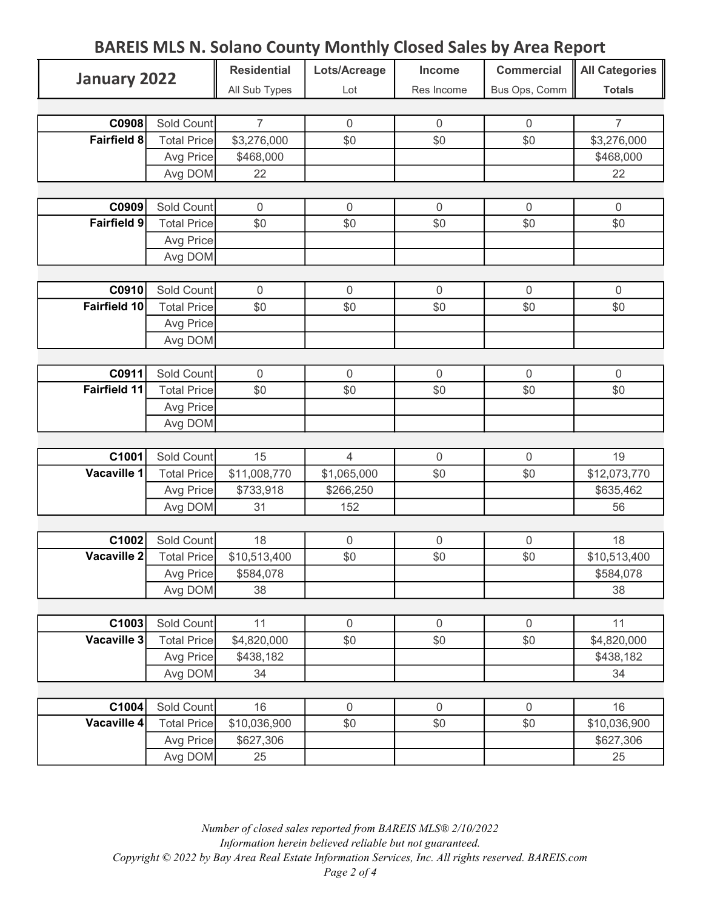| January 2022        |                                  | <b>Residential</b> | Lots/Acreage     | Income       | <b>Commercial</b> | <b>All Categories</b> |
|---------------------|----------------------------------|--------------------|------------------|--------------|-------------------|-----------------------|
|                     |                                  | All Sub Types      | Lot              | Res Income   | Bus Ops, Comm     | <b>Totals</b>         |
|                     |                                  |                    |                  |              |                   |                       |
| C0908               | Sold Count                       | $\overline{7}$     | $\boldsymbol{0}$ | $\mathbf{0}$ | $\overline{0}$    | $\overline{7}$        |
| <b>Fairfield 8</b>  | <b>Total Price</b>               | \$3,276,000        | \$0              | \$0          | \$0               | \$3,276,000           |
|                     | Avg Price                        | \$468,000          |                  |              |                   | \$468,000             |
|                     | Avg DOM                          | 22                 |                  |              |                   | 22                    |
|                     |                                  |                    |                  |              |                   |                       |
| C0909               | Sold Count                       | $\mathbf 0$        | $\mathbf 0$      | $\mathbf 0$  | $\mathbf 0$       | $\mathbf 0$           |
| <b>Fairfield 9</b>  | <b>Total Price</b>               | \$0                | \$0              | \$0          | \$0               | \$0                   |
|                     | Avg Price                        |                    |                  |              |                   |                       |
|                     | Avg DOM                          |                    |                  |              |                   |                       |
|                     |                                  |                    |                  |              |                   |                       |
| C0910               | Sold Count                       | $\mathbf 0$        | $\mathbf 0$      | $\mathbf 0$  | $\mathbf 0$       | $\mathbf 0$           |
| <b>Fairfield 10</b> | <b>Total Price</b>               | \$0                | \$0              | \$0          | \$0               | \$0                   |
|                     | Avg Price                        |                    |                  |              |                   |                       |
|                     | Avg DOM                          |                    |                  |              |                   |                       |
|                     |                                  |                    |                  |              |                   |                       |
| C0911               | Sold Count                       | $\overline{0}$     | $\mathbf 0$      | $\mathbf 0$  | $\overline{0}$    | $\mathbf 0$           |
| Fairfield 11        | <b>Total Price</b>               | \$0                | \$0              | \$0          | \$0               | \$0                   |
|                     | Avg Price                        |                    |                  |              |                   |                       |
|                     | Avg DOM                          |                    |                  |              |                   |                       |
|                     |                                  |                    |                  |              |                   |                       |
| C1001               | Sold Count                       | 15                 | $\overline{4}$   | $\mathbf 0$  | $\overline{0}$    | 19                    |
| <b>Vacaville 1</b>  | <b>Total Price</b>               | \$11,008,770       | \$1,065,000      | \$0          | \$0               | \$12,073,770          |
|                     | Avg Price                        | \$733,918          | \$266,250        |              |                   | \$635,462             |
|                     | Avg DOM                          | 31                 | 152              |              |                   | 56                    |
|                     |                                  |                    |                  |              |                   |                       |
| C1002               | Sold Count                       | 18                 | $\boldsymbol{0}$ | $\mathbf 0$  | $\overline{0}$    | 18                    |
| Vacaville 2         | <b>Total Price</b>               | \$10,513,400       | \$0              | \$0          | \$0               | \$10,513,400          |
|                     | Avg Price                        | \$584,078          |                  |              |                   | \$584,078             |
|                     | Avg DOM                          | 38                 |                  |              |                   | 38                    |
| C1003               |                                  | 11                 | $\boldsymbol{0}$ | $\mathbf 0$  | $\mathbf 0$       | 11                    |
| Vacaville 3         | Sold Count<br><b>Total Price</b> | \$4,820,000        | \$0              | \$0          | \$0               | \$4,820,000           |
|                     |                                  |                    |                  |              |                   | \$438,182             |
|                     | Avg Price                        | \$438,182<br>34    |                  |              |                   | 34                    |
|                     | Avg DOM                          |                    |                  |              |                   |                       |
| C1004               | Sold Count                       | 16                 | $\boldsymbol{0}$ | $\mathbf 0$  | $\mathbf 0$       | 16                    |
| Vacaville 4         | <b>Total Price</b>               | \$10,036,900       | \$0              | \$0          | \$0               | \$10,036,900          |
|                     | Avg Price                        | \$627,306          |                  |              |                   | \$627,306             |
|                     | Avg DOM                          | 25                 |                  |              |                   | 25                    |
|                     |                                  |                    |                  |              |                   |                       |

Number of closed sales reported from BAREIS MLS® 2/10/2022 Information herein believed reliable but not guaranteed. Copyright © 2022 by Bay Area Real Estate Information Services, Inc. All rights reserved. BAREIS.com Page 2 of 4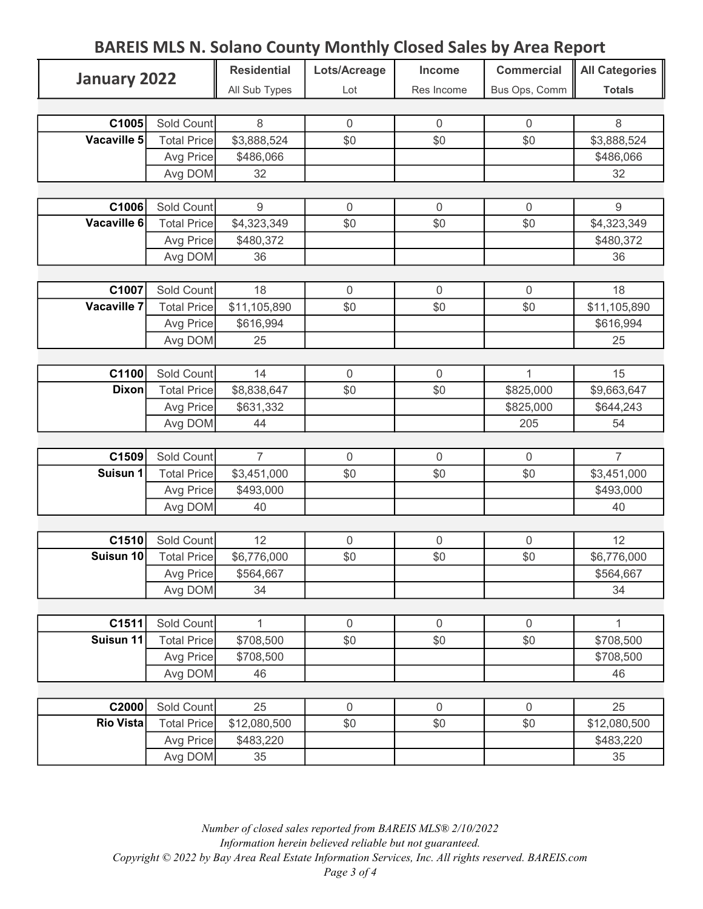| January 2022              |                    | <b>Residential</b> | Lots/Acreage     | Income           | <b>Commercial</b> | <b>All Categories</b> |
|---------------------------|--------------------|--------------------|------------------|------------------|-------------------|-----------------------|
|                           |                    | All Sub Types      | Lot              | Res Income       | Bus Ops, Comm     | <b>Totals</b>         |
|                           |                    |                    |                  |                  |                   |                       |
| C1005                     | Sold Count         | 8                  | $\mathbf 0$      | $\overline{0}$   | $\overline{0}$    | 8                     |
| Vacaville 5               | <b>Total Price</b> | \$3,888,524        | \$0              | \$0              | \$0               | \$3,888,524           |
|                           | Avg Price          | \$486,066          |                  |                  |                   | \$486,066             |
|                           | Avg DOM            | 32                 |                  |                  |                   | 32                    |
|                           |                    |                    |                  |                  |                   |                       |
| C1006                     | Sold Count         | $\boldsymbol{9}$   | $\boldsymbol{0}$ | $\boldsymbol{0}$ | $\mathbf 0$       | $\boldsymbol{9}$      |
| Vacaville 6               | <b>Total Price</b> | \$4,323,349        | \$0              | \$0              | \$0               | \$4,323,349           |
|                           | Avg Price          | \$480,372          |                  |                  |                   | \$480,372             |
|                           | Avg DOM            | 36                 |                  |                  |                   | 36                    |
|                           |                    |                    |                  |                  |                   |                       |
| C1007                     | Sold Count         | 18                 | $\mathbf 0$      | $\mathbf 0$      | $\mathbf{0}$      | 18                    |
| <b>Vacaville 7</b>        | <b>Total Price</b> | \$11,105,890       | \$0              | \$0              | \$0               | \$11,105,890          |
|                           | Avg Price          | \$616,994          |                  |                  |                   | \$616,994             |
|                           | Avg DOM            | 25                 |                  |                  |                   | 25                    |
|                           |                    |                    |                  |                  |                   |                       |
| C1100                     | Sold Count         | 14                 | $\mathbf 0$      | $\mathbf 0$      | $\mathbf{1}$      | 15                    |
| <b>Dixon</b>              | <b>Total Price</b> | \$8,838,647        | \$0              | \$0              | \$825,000         | \$9,663,647           |
|                           | Avg Price          | \$631,332          |                  |                  | \$825,000         | \$644,243             |
|                           | Avg DOM            | 44                 |                  |                  | 205               | 54                    |
|                           |                    |                    |                  |                  |                   |                       |
| C1509                     | Sold Count         | $\overline{7}$     | $\mathbf 0$      | $\mathbf 0$      | $\mathbf 0$       | $\overline{7}$        |
| Suisun 1                  | <b>Total Price</b> | \$3,451,000        | \$0              | \$0              | \$0               | \$3,451,000           |
|                           | Avg Price          | \$493,000          |                  |                  |                   | \$493,000             |
|                           | Avg DOM            | 40                 |                  |                  |                   | 40                    |
|                           |                    |                    |                  |                  |                   |                       |
| C1510                     | Sold Count         | 12                 | $\mathbf 0$      | $\mathbf 0$      | $\overline{0}$    | 12                    |
| Suisun 10                 | <b>Total Price</b> | \$6,776,000        | \$0              | \$0              | \$0               | \$6,776,000           |
|                           | Avg Price          | \$564,667          |                  |                  |                   | \$564,667             |
|                           | Avg DOM            | 34                 |                  |                  |                   | 34                    |
|                           |                    |                    |                  |                  |                   |                       |
| C1511                     | Sold Count         | 1                  | $\boldsymbol{0}$ | $\mathbf 0$      | $\overline{0}$    | 1                     |
| Suisun 11                 | <b>Total Price</b> | \$708,500          | \$0              | \$0              | \$0               | \$708,500             |
|                           | Avg Price          | \$708,500          |                  |                  |                   | \$708,500             |
|                           | Avg DOM            | 46                 |                  |                  |                   | 46                    |
|                           |                    |                    |                  |                  |                   |                       |
| C2000<br><b>Rio Vista</b> | Sold Count         | 25                 | $\mathbf 0$      | $\mathbf 0$      | $\mathbf 0$       | 25                    |
|                           | <b>Total Price</b> | \$12,080,500       | \$0              | \$0              | \$0               | \$12,080,500          |
|                           | Avg Price          | \$483,220          |                  |                  |                   | \$483,220             |
|                           | Avg DOM            | 35                 |                  |                  |                   | 35                    |

Number of closed sales reported from BAREIS MLS® 2/10/2022 Information herein believed reliable but not guaranteed. Copyright © 2022 by Bay Area Real Estate Information Services, Inc. All rights reserved. BAREIS.com Page 3 of 4